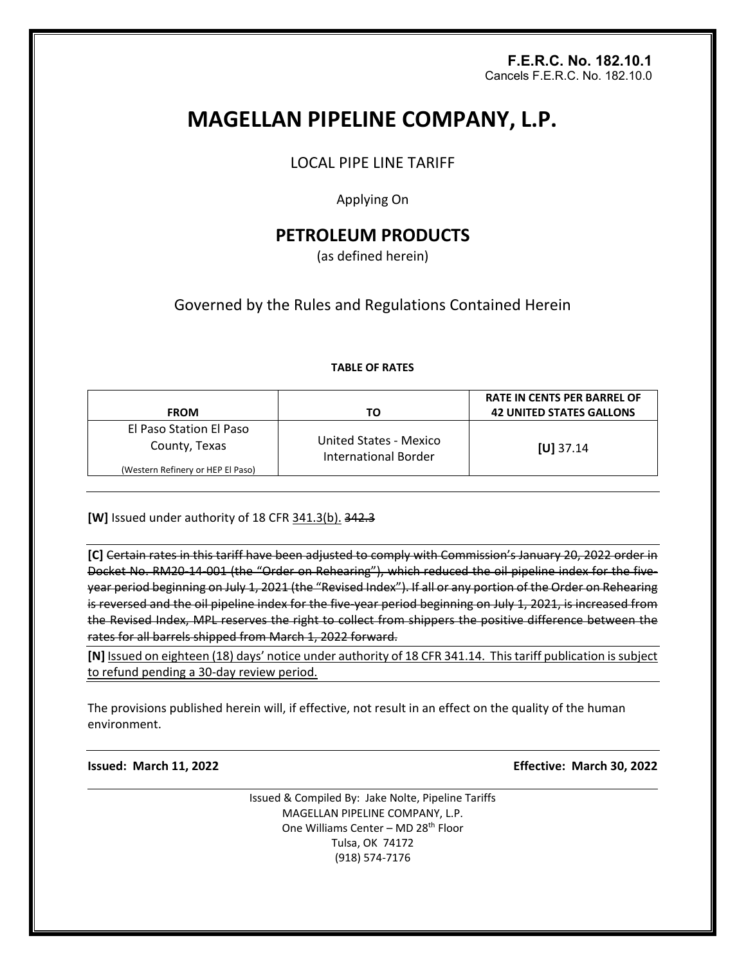# **F.E.R.C. No. 182.10.1**  Cancels F.E.R.C. No. 182.10.0

# **MAGELLAN PIPELINE COMPANY, L.P.**

LOCAL PIPE LINE TARIFF

Applying On

# **PETROLEUM PRODUCTS**

(as defined herein)

Governed by the Rules and Regulations Contained Herein

# **TABLE OF RATES**

| <b>FROM</b>                              | ТΟ                                                    | <b>RATE IN CENTS PER BARREL OF</b><br><b>42 UNITED STATES GALLONS</b> |
|------------------------------------------|-------------------------------------------------------|-----------------------------------------------------------------------|
| El Paso Station El Paso<br>County, Texas | United States - Mexico<br><b>International Border</b> | $[U]$ 37.14                                                           |
| (Western Refinery or HEP El Paso)        |                                                       |                                                                       |

**[W]** Issued under authority of 18 CFR 341.3(b). 342.3

**[C]** Certain rates in this tariff have been adjusted to comply with Commission's January 20, 2022 order in Docket No. RM20-14-001 (the "Order on Rehearing"), which reduced the oil pipeline index for the fiveyear period beginning on July 1, 2021 (the "Revised Index"). If all or any portion of the Order on Rehearing is reversed and the oil pipeline index for the five-year period beginning on July 1, 2021, is increased from the Revised Index, MPL reserves the right to collect from shippers the positive difference between the rates for all barrels shipped from March 1, 2022 forward.

**[N]** Issued on eighteen (18) days' notice under authority of 18 CFR 341.14. This tariff publication is subject to refund pending a 30-day review period.

The provisions published herein will, if effective, not result in an effect on the quality of the human environment.

**Issued: March 11, 2022 Effective: March 30, 2022**

Issued & Compiled By: Jake Nolte, Pipeline Tariffs MAGELLAN PIPELINE COMPANY, L.P. One Williams Center – MD 28th Floor Tulsa, OK 74172 (918) 574-7176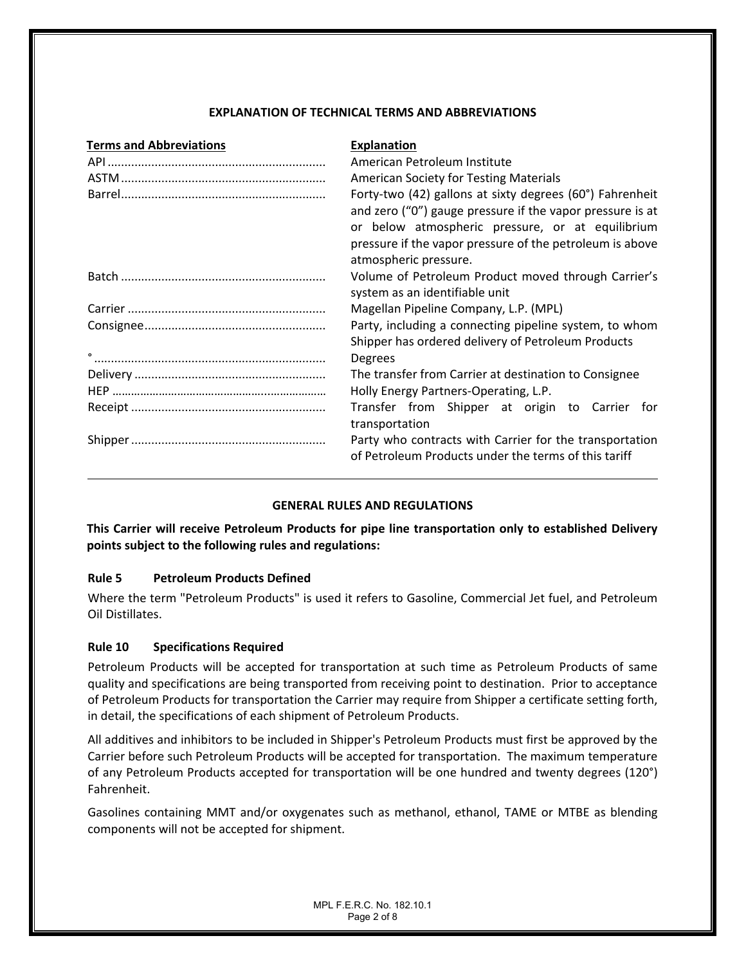# **EXPLANATION OF TECHNICAL TERMS AND ABBREVIATIONS**

| <b>Terms and Abbreviations</b> | <b>Explanation</b>                                                                                                                                                                                                                                             |  |
|--------------------------------|----------------------------------------------------------------------------------------------------------------------------------------------------------------------------------------------------------------------------------------------------------------|--|
|                                | American Petroleum Institute                                                                                                                                                                                                                                   |  |
|                                | <b>American Society for Testing Materials</b>                                                                                                                                                                                                                  |  |
|                                | Forty-two (42) gallons at sixty degrees (60°) Fahrenheit<br>and zero ("0") gauge pressure if the vapor pressure is at<br>or below atmospheric pressure, or at equilibrium<br>pressure if the vapor pressure of the petroleum is above<br>atmospheric pressure. |  |
|                                | Volume of Petroleum Product moved through Carrier's<br>system as an identifiable unit                                                                                                                                                                          |  |
|                                | Magellan Pipeline Company, L.P. (MPL)                                                                                                                                                                                                                          |  |
|                                | Party, including a connecting pipeline system, to whom<br>Shipper has ordered delivery of Petroleum Products                                                                                                                                                   |  |
|                                | <b>Degrees</b>                                                                                                                                                                                                                                                 |  |
|                                | The transfer from Carrier at destination to Consignee                                                                                                                                                                                                          |  |
|                                | Holly Energy Partners-Operating, L.P.                                                                                                                                                                                                                          |  |
|                                | Transfer from Shipper at origin to Carrier for<br>transportation                                                                                                                                                                                               |  |
|                                | Party who contracts with Carrier for the transportation<br>of Petroleum Products under the terms of this tariff                                                                                                                                                |  |

# **GENERAL RULES AND REGULATIONS**

**This Carrier will receive Petroleum Products for pipe line transportation only to established Delivery points subject to the following rules and regulations:**

# **Rule 5 Petroleum Products Defined**

Where the term "Petroleum Products" is used it refers to Gasoline, Commercial Jet fuel, and Petroleum Oil Distillates.

# **Rule 10 Specifications Required**

Petroleum Products will be accepted for transportation at such time as Petroleum Products of same quality and specifications are being transported from receiving point to destination. Prior to acceptance of Petroleum Products for transportation the Carrier may require from Shipper a certificate setting forth, in detail, the specifications of each shipment of Petroleum Products.

All additives and inhibitors to be included in Shipper's Petroleum Products must first be approved by the Carrier before such Petroleum Products will be accepted for transportation. The maximum temperature of any Petroleum Products accepted for transportation will be one hundred and twenty degrees (120°) Fahrenheit.

Gasolines containing MMT and/or oxygenates such as methanol, ethanol, TAME or MTBE as blending components will not be accepted for shipment.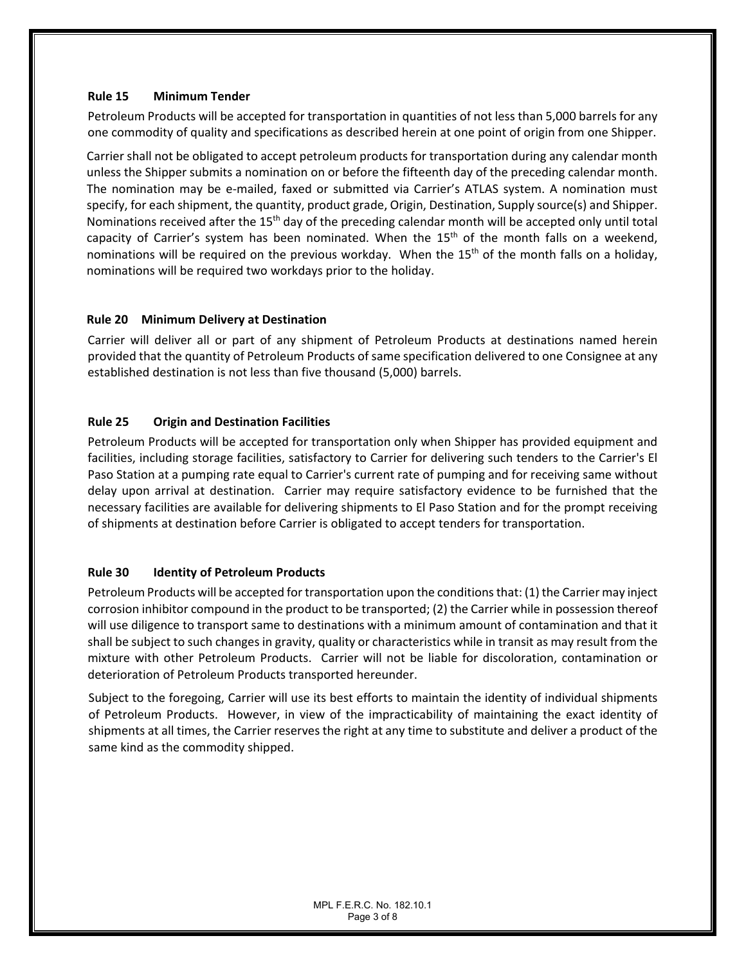# **Rule 15 Minimum Tender**

Petroleum Products will be accepted for transportation in quantities of not less than 5,000 barrels for any one commodity of quality and specifications as described herein at one point of origin from one Shipper.

Carrier shall not be obligated to accept petroleum products for transportation during any calendar month unless the Shipper submits a nomination on or before the fifteenth day of the preceding calendar month. The nomination may be e-mailed, faxed or submitted via Carrier's ATLAS system. A nomination must specify, for each shipment, the quantity, product grade, Origin, Destination, Supply source(s) and Shipper. Nominations received after the 15<sup>th</sup> day of the preceding calendar month will be accepted only until total capacity of Carrier's system has been nominated. When the  $15<sup>th</sup>$  of the month falls on a weekend, nominations will be required on the previous workday. When the 15<sup>th</sup> of the month falls on a holidav. nominations will be required two workdays prior to the holiday.

# **Rule 20 Minimum Delivery at Destination**

Carrier will deliver all or part of any shipment of Petroleum Products at destinations named herein provided that the quantity of Petroleum Products of same specification delivered to one Consignee at any established destination is not less than five thousand (5,000) barrels.

# **Rule 25 Origin and Destination Facilities**

Petroleum Products will be accepted for transportation only when Shipper has provided equipment and facilities, including storage facilities, satisfactory to Carrier for delivering such tenders to the Carrier's El Paso Station at a pumping rate equal to Carrier's current rate of pumping and for receiving same without delay upon arrival at destination. Carrier may require satisfactory evidence to be furnished that the necessary facilities are available for delivering shipments to El Paso Station and for the prompt receiving of shipments at destination before Carrier is obligated to accept tenders for transportation.

# **Rule 30 Identity of Petroleum Products**

Petroleum Products will be accepted for transportation upon the conditions that: (1) the Carrier may inject corrosion inhibitor compound in the product to be transported; (2) the Carrier while in possession thereof will use diligence to transport same to destinations with a minimum amount of contamination and that it shall be subject to such changes in gravity, quality or characteristics while in transit as may result from the mixture with other Petroleum Products. Carrier will not be liable for discoloration, contamination or deterioration of Petroleum Products transported hereunder.

Subject to the foregoing, Carrier will use its best efforts to maintain the identity of individual shipments of Petroleum Products. However, in view of the impracticability of maintaining the exact identity of shipments at all times, the Carrier reserves the right at any time to substitute and deliver a product of the same kind as the commodity shipped.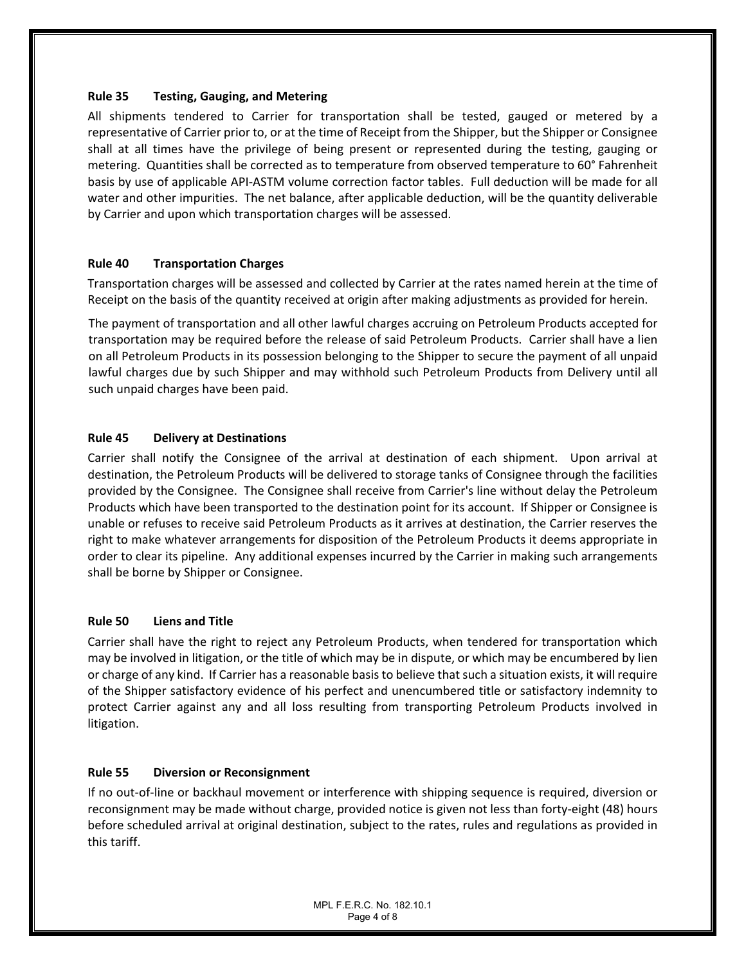# **Rule 35 Testing, Gauging, and Metering**

All shipments tendered to Carrier for transportation shall be tested, gauged or metered by a representative of Carrier prior to, or at the time of Receipt from the Shipper, but the Shipper or Consignee shall at all times have the privilege of being present or represented during the testing, gauging or metering. Quantities shall be corrected as to temperature from observed temperature to 60° Fahrenheit basis by use of applicable API-ASTM volume correction factor tables. Full deduction will be made for all water and other impurities. The net balance, after applicable deduction, will be the quantity deliverable by Carrier and upon which transportation charges will be assessed.

#### **Rule 40 Transportation Charges**

Transportation charges will be assessed and collected by Carrier at the rates named herein at the time of Receipt on the basis of the quantity received at origin after making adjustments as provided for herein.

The payment of transportation and all other lawful charges accruing on Petroleum Products accepted for transportation may be required before the release of said Petroleum Products. Carrier shall have a lien on all Petroleum Products in its possession belonging to the Shipper to secure the payment of all unpaid lawful charges due by such Shipper and may withhold such Petroleum Products from Delivery until all such unpaid charges have been paid.

#### **Rule 45 Delivery at Destinations**

Carrier shall notify the Consignee of the arrival at destination of each shipment. Upon arrival at destination, the Petroleum Products will be delivered to storage tanks of Consignee through the facilities provided by the Consignee. The Consignee shall receive from Carrier's line without delay the Petroleum Products which have been transported to the destination point for its account. If Shipper or Consignee is unable or refuses to receive said Petroleum Products as it arrives at destination, the Carrier reserves the right to make whatever arrangements for disposition of the Petroleum Products it deems appropriate in order to clear its pipeline. Any additional expenses incurred by the Carrier in making such arrangements shall be borne by Shipper or Consignee.

#### **Rule 50 Liens and Title**

Carrier shall have the right to reject any Petroleum Products, when tendered for transportation which may be involved in litigation, or the title of which may be in dispute, or which may be encumbered by lien or charge of any kind. If Carrier has a reasonable basis to believe that such a situation exists, it will require of the Shipper satisfactory evidence of his perfect and unencumbered title or satisfactory indemnity to protect Carrier against any and all loss resulting from transporting Petroleum Products involved in litigation.

# **Rule 55 Diversion or Reconsignment**

If no out-of-line or backhaul movement or interference with shipping sequence is required, diversion or reconsignment may be made without charge, provided notice is given not less than forty-eight (48) hours before scheduled arrival at original destination, subject to the rates, rules and regulations as provided in this tariff.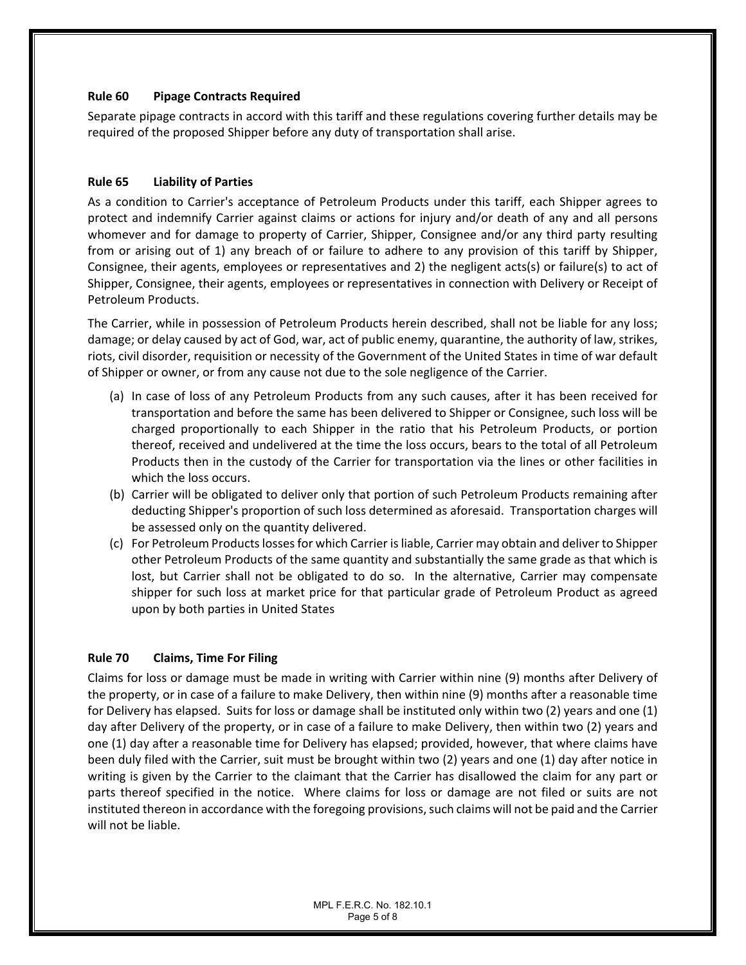# **Rule 60 Pipage Contracts Required**

Separate pipage contracts in accord with this tariff and these regulations covering further details may be required of the proposed Shipper before any duty of transportation shall arise.

#### **Rule 65 Liability of Parties**

As a condition to Carrier's acceptance of Petroleum Products under this tariff, each Shipper agrees to protect and indemnify Carrier against claims or actions for injury and/or death of any and all persons whomever and for damage to property of Carrier, Shipper, Consignee and/or any third party resulting from or arising out of 1) any breach of or failure to adhere to any provision of this tariff by Shipper, Consignee, their agents, employees or representatives and 2) the negligent acts(s) or failure(s) to act of Shipper, Consignee, their agents, employees or representatives in connection with Delivery or Receipt of Petroleum Products.

The Carrier, while in possession of Petroleum Products herein described, shall not be liable for any loss; damage; or delay caused by act of God, war, act of public enemy, quarantine, the authority of law, strikes, riots, civil disorder, requisition or necessity of the Government of the United States in time of war default of Shipper or owner, or from any cause not due to the sole negligence of the Carrier.

- (a) In case of loss of any Petroleum Products from any such causes, after it has been received for transportation and before the same has been delivered to Shipper or Consignee, such loss will be charged proportionally to each Shipper in the ratio that his Petroleum Products, or portion thereof, received and undelivered at the time the loss occurs, bears to the total of all Petroleum Products then in the custody of the Carrier for transportation via the lines or other facilities in which the loss occurs.
- (b) Carrier will be obligated to deliver only that portion of such Petroleum Products remaining after deducting Shipper's proportion of such loss determined as aforesaid. Transportation charges will be assessed only on the quantity delivered.
- (c) For Petroleum Products losses for which Carrier is liable, Carrier may obtain and deliver to Shipper other Petroleum Products of the same quantity and substantially the same grade as that which is lost, but Carrier shall not be obligated to do so. In the alternative, Carrier may compensate shipper for such loss at market price for that particular grade of Petroleum Product as agreed upon by both parties in United States

# **Rule 70 Claims, Time For Filing**

Claims for loss or damage must be made in writing with Carrier within nine (9) months after Delivery of the property, or in case of a failure to make Delivery, then within nine (9) months after a reasonable time for Delivery has elapsed. Suits for loss or damage shall be instituted only within two (2) years and one (1) day after Delivery of the property, or in case of a failure to make Delivery, then within two (2) years and one (1) day after a reasonable time for Delivery has elapsed; provided, however, that where claims have been duly filed with the Carrier, suit must be brought within two (2) years and one (1) day after notice in writing is given by the Carrier to the claimant that the Carrier has disallowed the claim for any part or parts thereof specified in the notice. Where claims for loss or damage are not filed or suits are not instituted thereon in accordance with the foregoing provisions, such claims will not be paid and the Carrier will not be liable.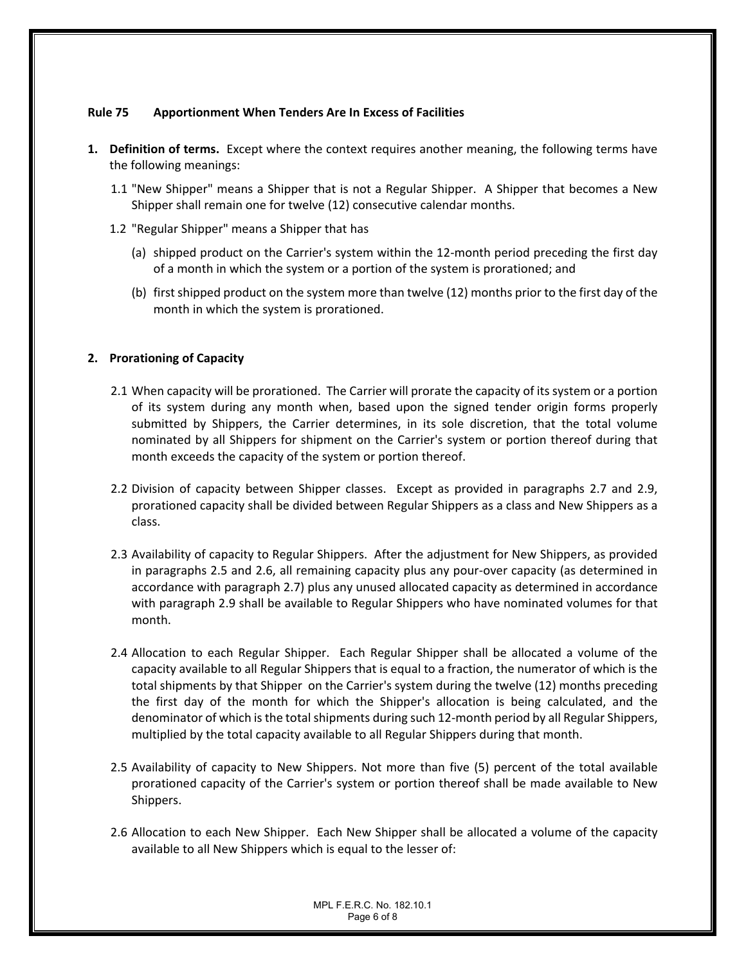# **Rule 75 Apportionment When Tenders Are In Excess of Facilities**

- **1. Definition of terms.** Except where the context requires another meaning, the following terms have the following meanings:
	- 1.1 "New Shipper" means a Shipper that is not a Regular Shipper. A Shipper that becomes a New Shipper shall remain one for twelve (12) consecutive calendar months.
	- 1.2 "Regular Shipper" means a Shipper that has
		- (a) shipped product on the Carrier's system within the 12-month period preceding the first day of a month in which the system or a portion of the system is prorationed; and
		- (b) first shipped product on the system more than twelve (12) months prior to the first day of the month in which the system is prorationed.

#### **2. Prorationing of Capacity**

- 2.1 When capacity will be prorationed. The Carrier will prorate the capacity of its system or a portion of its system during any month when, based upon the signed tender origin forms properly submitted by Shippers, the Carrier determines, in its sole discretion, that the total volume nominated by all Shippers for shipment on the Carrier's system or portion thereof during that month exceeds the capacity of the system or portion thereof.
- 2.2 Division of capacity between Shipper classes. Except as provided in paragraphs 2.7 and 2.9, prorationed capacity shall be divided between Regular Shippers as a class and New Shippers as a class.
- 2.3 Availability of capacity to Regular Shippers. After the adjustment for New Shippers, as provided in paragraphs 2.5 and 2.6, all remaining capacity plus any pour-over capacity (as determined in accordance with paragraph 2.7) plus any unused allocated capacity as determined in accordance with paragraph 2.9 shall be available to Regular Shippers who have nominated volumes for that month.
- 2.4 Allocation to each Regular Shipper. Each Regular Shipper shall be allocated a volume of the capacity available to all Regular Shippers that is equal to a fraction, the numerator of which is the total shipments by that Shipper on the Carrier's system during the twelve (12) months preceding the first day of the month for which the Shipper's allocation is being calculated, and the denominator of which is the total shipments during such 12-month period by all Regular Shippers, multiplied by the total capacity available to all Regular Shippers during that month.
- 2.5 Availability of capacity to New Shippers. Not more than five (5) percent of the total available prorationed capacity of the Carrier's system or portion thereof shall be made available to New Shippers.
- 2.6 Allocation to each New Shipper. Each New Shipper shall be allocated a volume of the capacity available to all New Shippers which is equal to the lesser of: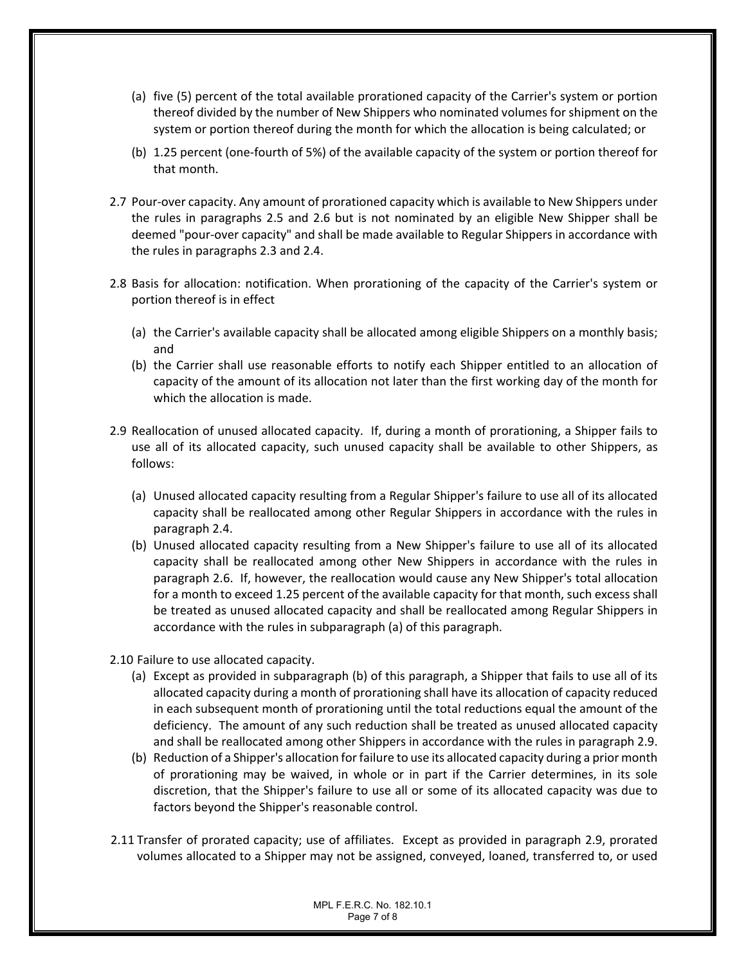- (a) five (5) percent of the total available prorationed capacity of the Carrier's system or portion thereof divided by the number of New Shippers who nominated volumes for shipment on the system or portion thereof during the month for which the allocation is being calculated; or
- (b) 1.25 percent (one-fourth of 5%) of the available capacity of the system or portion thereof for that month.
- 2.7 Pour-over capacity. Any amount of prorationed capacity which is available to New Shippers under the rules in paragraphs 2.5 and 2.6 but is not nominated by an eligible New Shipper shall be deemed "pour-over capacity" and shall be made available to Regular Shippers in accordance with the rules in paragraphs 2.3 and 2.4.
- 2.8 Basis for allocation: notification. When prorationing of the capacity of the Carrier's system or portion thereof is in effect
	- (a) the Carrier's available capacity shall be allocated among eligible Shippers on a monthly basis; and
	- (b) the Carrier shall use reasonable efforts to notify each Shipper entitled to an allocation of capacity of the amount of its allocation not later than the first working day of the month for which the allocation is made.
- 2.9 Reallocation of unused allocated capacity. If, during a month of prorationing, a Shipper fails to use all of its allocated capacity, such unused capacity shall be available to other Shippers, as follows:
	- (a) Unused allocated capacity resulting from a Regular Shipper's failure to use all of its allocated capacity shall be reallocated among other Regular Shippers in accordance with the rules in paragraph 2.4.
	- (b) Unused allocated capacity resulting from a New Shipper's failure to use all of its allocated capacity shall be reallocated among other New Shippers in accordance with the rules in paragraph 2.6. If, however, the reallocation would cause any New Shipper's total allocation for a month to exceed 1.25 percent of the available capacity for that month, such excess shall be treated as unused allocated capacity and shall be reallocated among Regular Shippers in accordance with the rules in subparagraph (a) of this paragraph.
- 2.10 Failure to use allocated capacity.
	- (a) Except as provided in subparagraph (b) of this paragraph, a Shipper that fails to use all of its allocated capacity during a month of prorationing shall have its allocation of capacity reduced in each subsequent month of prorationing until the total reductions equal the amount of the deficiency. The amount of any such reduction shall be treated as unused allocated capacity and shall be reallocated among other Shippers in accordance with the rules in paragraph 2.9.
	- (b) Reduction of a Shipper's allocation for failure to use its allocated capacity during a prior month of prorationing may be waived, in whole or in part if the Carrier determines, in its sole discretion, that the Shipper's failure to use all or some of its allocated capacity was due to factors beyond the Shipper's reasonable control.
- 2.11 Transfer of prorated capacity; use of affiliates. Except as provided in paragraph 2.9, prorated volumes allocated to a Shipper may not be assigned, conveyed, loaned, transferred to, or used